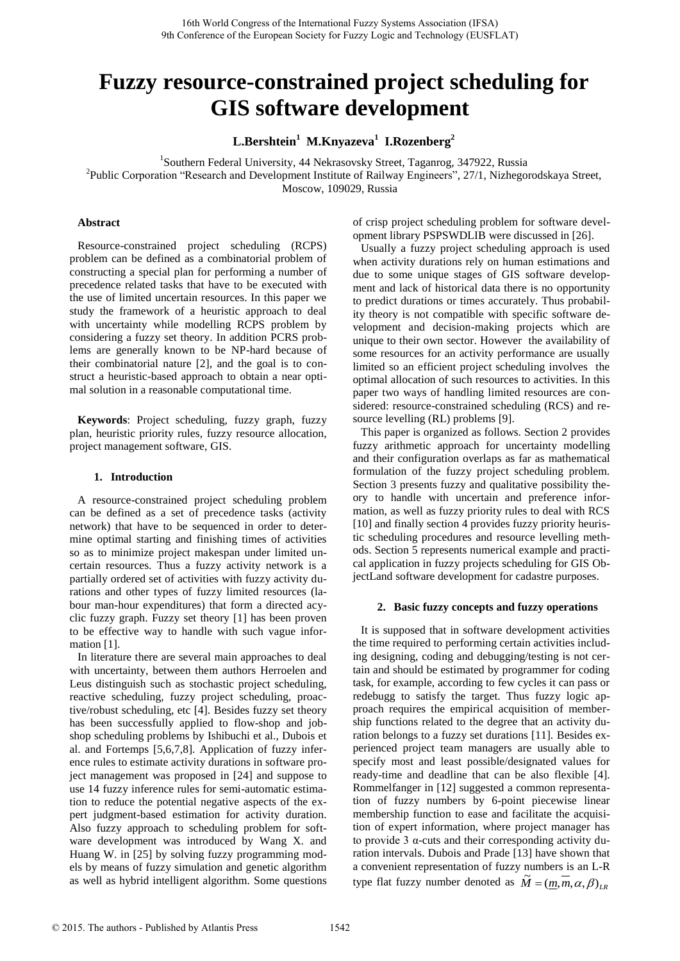# **Fuzzy resource-constrained project scheduling for GIS software development**

**L.Bershtein<sup>1</sup> M.Knyazeva<sup>1</sup> I.Rozenberg<sup>2</sup>** 

<sup>1</sup>Southern Federal University, 44 Nekrasovsky Street, Taganrog, 347922, Russia

<sup>2</sup>Public Corporation "Research and Development Institute of Railway Engineers", 27/1, Nizhegorodskaya Street, Moscow, 109029, Russia

# **Abstract**

Resource-constrained project scheduling (RCPS) problem can be defined as a combinatorial problem of constructing a special plan for performing a number of precedence related tasks that have to be executed with the use of limited uncertain resources. In this paper we study the framework of a heuristic approach to deal with uncertainty while modelling RCPS problem by considering a fuzzy set theory. In addition PCRS problems are generally known to be NP-hard because of their combinatorial nature [2], and the goal is to construct a heuristic-based approach to obtain a near optimal solution in a reasonable computational time.

**Keywords**: Project scheduling, fuzzy graph, fuzzy plan, heuristic priority rules, fuzzy resource allocation, project management software, GIS.

# **1. Introduction**

A resource-constrained project scheduling problem can be defined as a set of precedence tasks (activity network) that have to be sequenced in order to determine optimal starting and finishing times of activities so as to minimize project makespan under limited uncertain resources. Thus a fuzzy activity network is a partially ordered set of activities with fuzzy activity durations and other types of fuzzy limited resources (labour man-hour expenditures) that form a directed acyclic fuzzy graph. Fuzzy set theory [1] has been proven to be effective way to handle with such vague information [1].

In literature there are several main approaches to deal with uncertainty, between them authors Herroelen and Leus distinguish such as stochastic project scheduling, reactive scheduling, fuzzy project scheduling, proactive/robust scheduling, etc [4]. Besides fuzzy set theory has been successfully applied to flow-shop and jobshop scheduling problems by Ishibuchi et al., Dubois et al. and Fortemps [5,6,7,8]. Application of fuzzy inference rules to estimate activity durations in software project management was proposed in [24] and suppose to use 14 fuzzy inference rules for semi-automatic estimation to reduce the potential negative aspects of the expert judgment-based estimation for activity duration. Also fuzzy approach to scheduling problem for software development was introduced by Wang X. and Huang W. in [25] by solving fuzzy programming models by means of fuzzy simulation and genetic algorithm as well as hybrid intelligent algorithm. Some questions

of crisp project scheduling problem for software development library PSPSWDLIB were discussed in [26].

Usually a fuzzy project scheduling approach is used when activity durations rely on human estimations and due to some unique stages of GIS software development and lack of historical data there is no opportunity to predict durations or times accurately. Thus probability theory is not compatible with specific software development and decision-making projects which are unique to their own sector. However the availability of some resources for an activity performance are usually limited so an efficient project scheduling involves the optimal allocation of such resources to activities. In this paper two ways of handling limited resources are considered: resource-constrained scheduling (RCS) and resource levelling (RL) problems [9].

This paper is organized as follows. Section 2 provides fuzzy arithmetic approach for uncertainty modelling and their configuration overlaps as far as mathematical formulation of the fuzzy project scheduling problem. Section 3 presents fuzzy and qualitative possibility theory to handle with uncertain and preference information, as well as fuzzy priority rules to deal with RCS [10] and finally section 4 provides fuzzy priority heuristic scheduling procedures and resource levelling methods. Section 5 represents numerical example and practical application in fuzzy projects scheduling for GIS ObjectLand software development for cadastre purposes.

## **2. Basic fuzzy concepts and fuzzy operations**

It is supposed that in software development activities the time required to performing certain activities including designing, coding and debugging/testing is not certain and should be estimated by programmer for coding task, for example, according to few cycles it can pass or redebugg to satisfy the target. Thus fuzzy logic approach requires the empirical acquisition of membership functions related to the degree that an activity duration belongs to a fuzzy set durations [11]. Besides experienced project team managers are usually able to specify most and least possible/designated values for ready-time and deadline that can be also flexible [4]. Rommelfanger in [12] suggested a common representation of fuzzy numbers by 6-point piecewise linear membership function to ease and facilitate the acquisition of expert information, where project manager has to provide 3 α-cuts and their corresponding activity duration intervals. Dubois and Prade [13] have shown that a convenient representation of fuzzy numbers is an L-R type flat fuzzy number denoted as  $\widetilde{M} = (m, m, \alpha, \beta)_{LR}$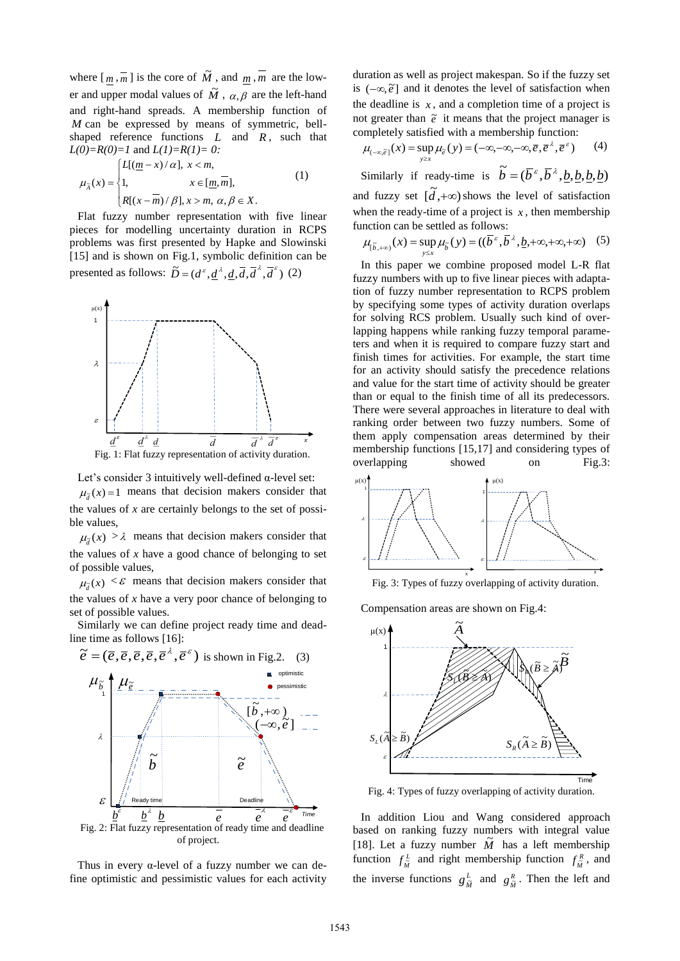where  $\left[\frac{m}{m}, \frac{m}{m}\right]$  is the core of  $\tilde{M}$ , and  $\frac{m}{m}, \frac{m}{m}$  are the lower and upper modal values of  $\overline{M}$ ,  $\alpha$ ,  $\overline{\beta}$  are the left-hand and right-hand spreads. A membership function of *M* can be expressed by means of symmetric, bellshaped reference functions  $L$  and  $R$ , such that *L(0)=R(0)=1* and *L(1)=R(1)= 0:*

$$
\mu_{\tilde{\Lambda}}(x) = \begin{cases} L[(\underline{m} - x)/\alpha], & x < m, \\ 1, & x \in [\underline{m}, \overline{m}], \\ R[(x - \overline{m})/\beta], & x > m, \alpha, \beta \in X. \end{cases}
$$
(1)

Flat fuzzy number representation with five linear pieces for modelling uncertainty duration in RCPS problems was first presented by Hapke and Slowinski [15] and is shown on Fig.1, symbolic definition can be

presented as follows:  $\widetilde{D} = (d^{\varepsilon}, \underline{d}^{\lambda}, \underline{d}, \overline{d}, \overline{d}^{\lambda}, \overline{d}^{\varepsilon})$  (2)



Let's consider 3 intuitively well-defined α-level set:  $\mu_{\tilde{d}}(x) = 1$  means that decision makers consider that the values of *x* are certainly belongs to the set of possible values,

 $\mu_{\tilde{d}}(x) > \lambda$  means that decision makers consider that the values of  $x$  have a good chance of belonging to set of possible values,

 $\mu_{\tilde{d}}(x) < \varepsilon$  means that decision makers consider that the values of *x* have a very poor chance of belonging to set of possible values.

Similarly we can define project ready time and deadline time as follows [16]:



of project.

Thus in every  $\alpha$ -level of a fuzzy number we can define optimistic and pessimistic values for each activity

duration as well as project makespan. So if the fuzzy set is  $(-\infty, \tilde{e}]$  and it denotes the level of satisfaction when the deadline is  $x$ , and a completion time of a project is not greater than  $\tilde{e}$  it means that the project manager is completely satisfied with a membership function:

$$
\mu_{(-\infty,\vec{e})}(x) = \sup_{y \ge x} \mu_{\vec{e}}(y) = (-\infty,-\infty,-\infty,\vec{e},\vec{e}^{\lambda},\vec{e}^{\epsilon}) \qquad (4)
$$

Similarly if ready-time is  $\tilde{b} = (\bar{b}^{\varepsilon}, \bar{b}^{\lambda}, \underline{b}, \underline{b}, \underline{b}, \underline{b})$ and fuzzy set  $[\tilde{d}, +\infty)$  shows the level of satisfaction when the ready-time of a project is  $x$ , then membership

function can be settled as follows:

$$
\mu_{[\tilde{b},+\infty)}(x) = \sup_{y \le x} \mu_{\tilde{b}}(y) = ((\overline{b}^{\varepsilon}, \overline{b}^{\lambda}, \underline{b},+\infty,+\infty,+\infty) \quad (5)
$$

In this paper we combine proposed model L-R flat fuzzy numbers with up to five linear pieces with adaptation of fuzzy number representation to RCPS problem by specifying some types of activity duration overlaps for solving RCS problem. Usually such kind of overlapping happens while ranking fuzzy temporal parameters and when it is required to compare fuzzy start and finish times for activities. For example, the start time for an activity should satisfy the precedence relations and value for the start time of activity should be greater than or equal to the finish time of all its predecessors. There were several approaches in literature to deal with ranking order between two fuzzy numbers. Some of them apply compensation areas determined by their membership functions [15,17] and considering types of overlapping showed on Fig.3:



Fig. 3: Types of fuzzy overlapping of activity duration.

Compensation areas are shown on Fig.4:



Fig. 4: Types of fuzzy overlapping of activity duration.

 $e^{\prime}$   $e^{\prime}$  <sup>Time</sup> In addition Liou and Wang considered approach based on ranking fuzzy numbers with integral value [18]. Let a fuzzy number  $\tilde{M}$  has a left membership function  $f_{\tilde{M}}^L$  and right membership function  $f_{\tilde{M}}^R$ , and the inverse functions  $g_{\hat{u}}^L$  $g_{\tilde{M}}^L$  and  $g_{\tilde{M}}^R$ . Then the left and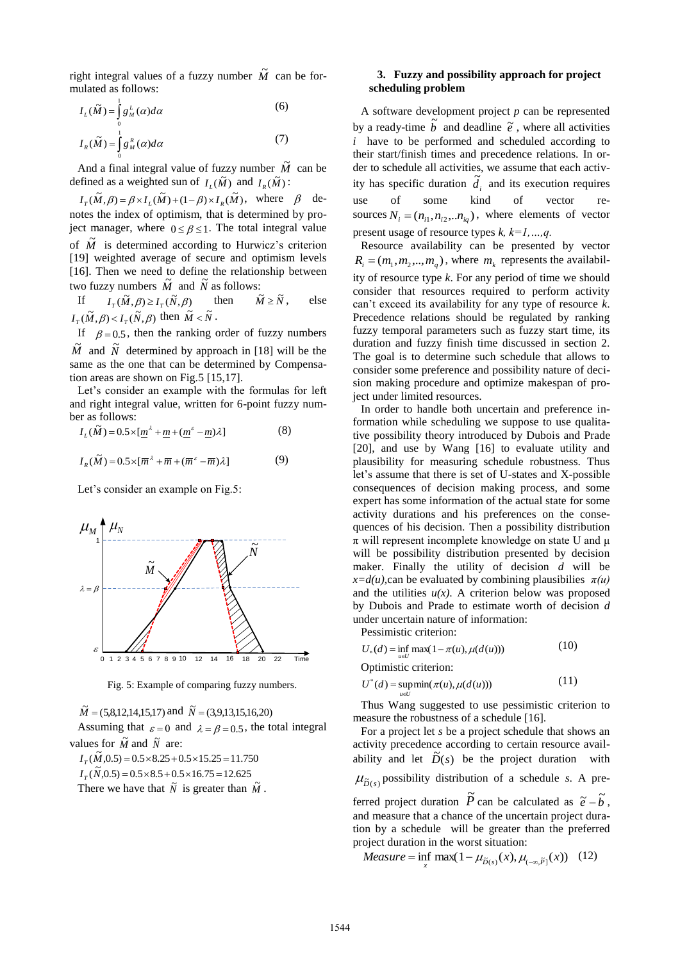right integral values of a fuzzy number  $\tilde{M}$  can be formulated as follows:

$$
I_L(\widetilde{M}) = \int_0^1 g_M^L(\alpha) d\alpha \tag{6}
$$

$$
I_R(\widetilde{M}) = \int_0^1 g_M^R(\alpha) d\alpha \tag{7}
$$

And a final integral value of fuzzy number  $\tilde{M}$  can be defined as a weighted sun of  $I_L(\tilde{M})$  and  $I_R(\tilde{M})$ :

 $I_T(\tilde{M}, \beta) = \beta \times I_L(\tilde{M}) + (1 - \beta) \times I_R(\tilde{M}),$  where  $\beta$  denotes the index of optimism, that is determined by project manager, where  $0 \le \beta \le 1$ . The total integral value of  $\tilde{M}$  is determined according to Hurwicz's criterion [19] weighted average of secure and optimism levels [16]. Then we need to define the relationship between two fuzzy numbers  $\tilde{M}$  and  $\tilde{N}$  as follows:

If  $I_T(\tilde{M}, \beta) \ge I_T(\tilde{N}, \beta)$  then  $\widetilde{M} \geq \widetilde{N}$ , else  $I_T(\tilde{M}, \beta) < I_T(\tilde{N}, \beta)$  then  $\tilde{M} < \tilde{N}$ .

If  $\beta = 0.5$ , then the ranking order of fuzzy numbers  $\tilde{M}$  and  $\tilde{N}$  determined by approach in [18] will be the same as the one that can be determined by Compensation areas are shown on Fig.5 [15,17].

Let's consider an example with the formulas for left and right integral value, written for 6-point fuzzy number as follows:

$$
I_L(\tilde{M}) = 0.5 \times \left[ \underline{m}^{\lambda} + \underline{m} + (\underline{m}^{\varepsilon} - \underline{m}) \lambda \right]
$$
 (8)

$$
I_R(\widetilde{M}) = 0.5 \times [\overline{m}^{\lambda} + \overline{m} + (\overline{m}^{\varepsilon} - \overline{m})\lambda]
$$
 (9)

Let's consider an example on Fig.5:



Fig. 5: Example of comparing fuzzy numbers.

 $\tilde{M} = (5,8,12,14,15,17)$  and  $\tilde{N} = (3,9,13,15,16,20)$ Assuming that  $\varepsilon = 0$  and  $\lambda = \beta = 0.5$ , the total integral values for  $\tilde{M}$  and  $\tilde{N}$  are:

 $I_T(\tilde{M}, 0.5) = 0.5 \times 8.25 + 0.5 \times 15.25 = 11.750$ 

 $I_T(\tilde{N}, 0.5) = 0.5 \times 8.5 + 0.5 \times 16.75 = 12.625$ 

There we have that  $\tilde{N}$  is greater than  $\tilde{M}$ .

# **3. Fuzzy and possibility approach for project scheduling problem**

A software development project *p* can be represented by a ready-time  $\tilde{b}$  and deadline  $\tilde{e}$ , where all activities *i* have to be performed and scheduled according to their start/finish times and precedence relations. In order to schedule all activities, we assume that each activity has specific duration  $\tilde{d}_i$  and its execution requires use of some kind of vector sources  $N_i = (n_{i1}, n_{i2}, \dots n_{iq})$ , where elements of vector present usage of resource types *k, k=1,…,q.* 

Resource availability can be presented by vector  $R_i = (m_1, m_2, \dots, m_q)$ , where  $m_k$  represents the availability of resource type *k*. For any period of time we should consider that resources required to perform activity can't exceed its availability for any type of resource *k*. Precedence relations should be regulated by ranking fuzzy temporal parameters such as fuzzy start time, its duration and fuzzy finish time discussed in section 2. The goal is to determine such schedule that allows to consider some preference and possibility nature of decision making procedure and optimize makespan of project under limited resources.

In order to handle both uncertain and preference information while scheduling we suppose to use qualitative possibility theory introduced by Dubois and Prade [20], and use by Wang [16] to evaluate utility and plausibility for measuring schedule robustness. Thus let's assume that there is set of U-states and X-possible consequences of decision making process, and some expert has some information of the actual state for some activity durations and his preferences on the consequences of his decision. Then a possibility distribution  $\pi$  will represent incomplete knowledge on state U and  $\mu$ will be possibility distribution presented by decision maker. Finally the utility of decision *d* will be  $x=d(u)$ , can be evaluated by combining plausibilies  $\pi(u)$ and the utilities  $u(x)$ . A criterion below was proposed by Dubois and Prade to estimate worth of decision *d* under uncertain nature of information:

Pessimistic criterion:

$$
U_*(d) = \inf_{u \in U} \max(1 - \pi(u), \mu(d(u)))
$$
 (10)

Optimistic criterion:

$$
U^*(d) = \operatorname*{supmin}_{u \in U} (\pi(u), \mu(d(u))) \tag{11}
$$

Thus Wang suggested to use pessimistic criterion to measure the robustness of a schedule [16].

For a project let *s* be a project schedule that shows an activity precedence according to certain resource availability and let  $\tilde{D}(s)$  be the project duration with

$$
\mu_{\tilde{D}(s)}
$$
 possibility distribution of a schedule *s*. A pre-

ferred project duration  $\tilde{P}$  can be calculated as  $\tilde{e} - \tilde{b}$ , and measure that a chance of the uncertain project duration by a schedule will be greater than the preferred project duration in the worst situation:

$$
Measure = \inf_{x} \max(1 - \mu_{\tilde{D}(x)}(x), \mu_{(-\infty, \tilde{P}]}(x)) \quad (12)
$$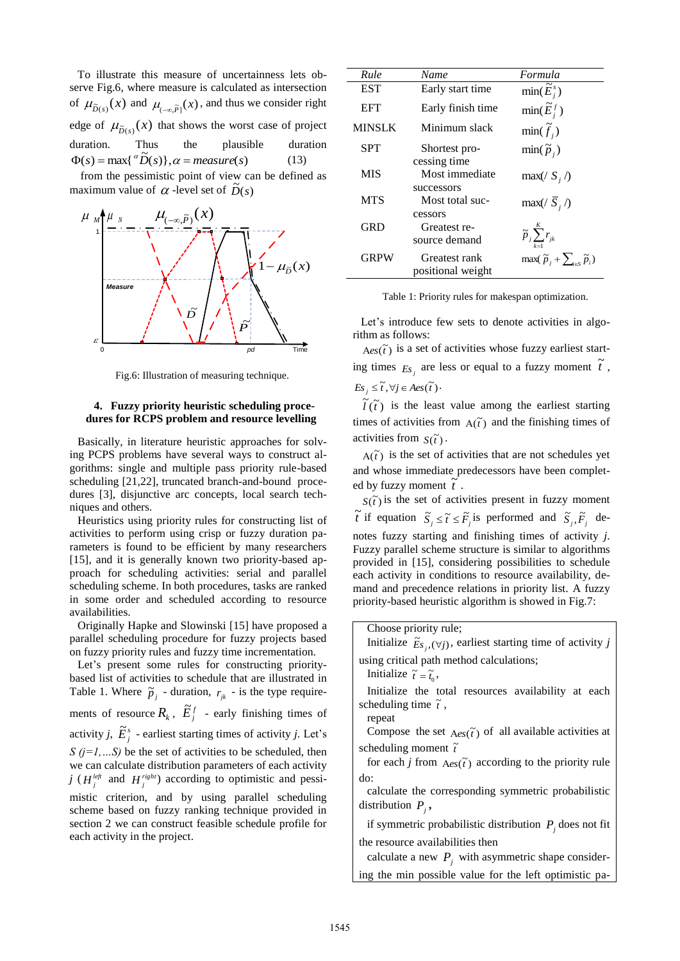To illustrate this measure of uncertainness lets observe Fig.6, where measure is calculated as intersection of  $\mu_{\tilde{D}(s)}(x)$  and  $\mu_{(-\infty,\tilde{P}]}(x)$ , and thus we consider right edge of  $\mu_{\tilde{D}(s)}(x)$  that shows the worst case of project duration. Thus the plausible duration  $\Phi(s) = \max\{\alpha \widetilde{D}(s)\}, \alpha = measure(s)$ (13)

 from the pessimistic point of view can be defined as maximum value of  $\alpha$ -level set of  $\tilde{D}(s)$ 



Fig.6: Illustration of measuring technique.

# **4. Fuzzy priority heuristic scheduling procedures for RCPS problem and resource levelling**

Basically, in literature heuristic approaches for solving PCPS problems have several ways to construct algorithms: single and multiple pass priority rule-based scheduling [21,22], truncated branch-and-bound procedures [3], disjunctive arc concepts, local search techniques and others.

Heuristics using priority rules for constructing list of activities to perform using crisp or fuzzy duration parameters is found to be efficient by many researchers [15], and it is generally known two priority-based approach for scheduling activities: serial and parallel scheduling scheme. In both procedures, tasks are ranked in some order and scheduled according to resource availabilities.

Originally Hapke and Slowinski [15] have proposed a parallel scheduling procedure for fuzzy projects based on fuzzy priority rules and fuzzy time incrementation.

Let's present some rules for constructing prioritybased list of activities to schedule that are illustrated in Table 1. Where  $\tilde{p}_j$  - duration,  $r_{jk}$  - is the type requirements of resource  $\overline{R}_k$ ,  $\overline{E}_j^f$  - early finishing times of activity *j*,  $\tilde{E}^s_j$  - earliest starting times of activity *j*. Let's *S*  $(j=1,...S)$  be the set of activities to be scheduled, then we can calculate distribution parameters of each activity *j* ( $H_j^{left}$  and  $H_j^{right}$ ) according to optimistic and pessimistic criterion, and by using parallel scheduling scheme based on fuzzy ranking technique provided in section 2 we can construct feasible schedule profile for each activity in the project.

| Rule          | Name              | Formula                                                   |
|---------------|-------------------|-----------------------------------------------------------|
| <b>EST</b>    | Early start time  | $\min(\widetilde{E}_{i}^{s})$                             |
| <b>EFT</b>    | Early finish time | $\min(\widetilde{E}_{i}^{f})$                             |
| <b>MINSLK</b> | Minimum slack     | $\min(\widetilde{f}_i)$                                   |
| <b>SPT</b>    | Shortest pro-     | $\min(\tilde{p}_i)$                                       |
|               | cessing time      |                                                           |
| <b>MIS</b>    | Most immediate    | $max(\frac{S_i}{})$                                       |
|               | successors        |                                                           |
| <b>MTS</b>    | Most total suc-   | $\max(\sqrt{S}_i)$                                        |
|               | cessors           |                                                           |
| <b>GRD</b>    | Greatest re-      | $\widetilde{p}_j \sum_{k=1}^K r_{jk}$                     |
|               | source demand     |                                                           |
| <b>GRPW</b>   | Greatest rank     | max( $\widetilde{p}_j + \sum_{i \in S} \widetilde{p}_i$ ) |
|               | positional weight |                                                           |

Table 1: Priority rules for makespan optimization.

 $\overrightarrow{D}$   $\overrightarrow{F}$   $\overrightarrow{F}$   $\overrightarrow{F}$  Let's introduce few sets to denote activities in algo-<br>rithm as follows:<br> $\overrightarrow{Aes(\tilde{t})}$  is a set of activities whose fuzzy earliest startrithm as follows:

ing times  $E_s$ <sup>*j*</sup> are less or equal to a fuzzy moment  $\tilde{t}$ ,  $Es_j \leq \tilde{t}, \forall j \in \text{Aes}(\tilde{t})$ .

 $\tilde{l}(t)$  is the least value among the earliest starting times of activities from  $A(\tilde{t})$  and the finishing times of activities from  $S(\tilde{t})$ .

 $A(\tilde{t})$  is the set of activities that are not schedules yet and whose immediate predecessors have been completed by fuzzy moment  $\tilde{t}$ .

 $S(\tilde{t})$  is the set of activities present in fuzzy moment  $\tilde{t}$  if equation  $\tilde{S}_j \leq \tilde{t} \leq \tilde{F}_j$  is performed and  $\tilde{S}_j$ ,  $\tilde{F}_j$  denotes fuzzy starting and finishing times of activity *j*. Fuzzy parallel scheme structure is similar to algorithms provided in [15], considering possibilities to schedule each activity in conditions to resource availability, demand and precedence relations in priority list. A fuzzy priority-based heuristic algorithm is showed in Fig.7:

# Choose priority rule;

Initialize  $\tilde{E}_{s_j}$ ,  $(\forall j)$ , earliest starting time of activity *j* 

using critical path method calculations;

Initialize  $\tilde{t} = \tilde{t}_0$ ,

repeat

Initialize the total resources availability at each scheduling time  $\tilde{t}$ ,

Compose the set  $Aes(\tilde{t})$  of all available activities at scheduling moment  $\tilde{t}$ 

for each *j* from  $Aes(\tilde{t})$  according to the priority rule do:

calculate the corresponding symmetric probabilistic distribution  $P_j$ ,

if symmetric probabilistic distribution  $P_j$  does not fit the resource availabilities then

calculate a new  $P_j$  with asymmetric shape considering the min possible value for the left optimistic pa-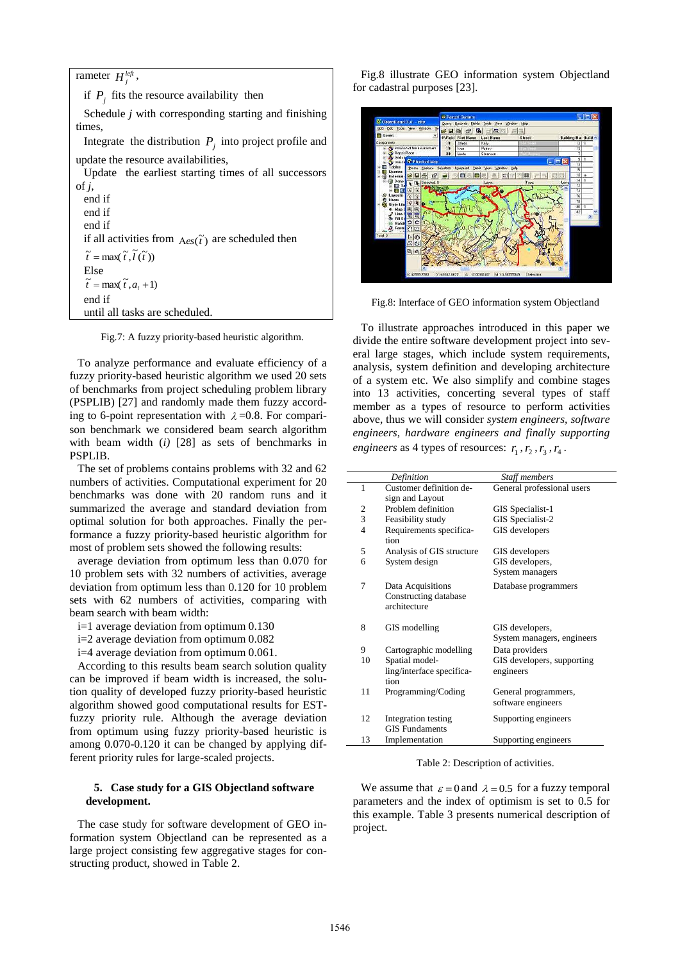| rameter $H_i^{left}$ ,                                               |  |  |
|----------------------------------------------------------------------|--|--|
| if $P_i$ , fits the resource availability then                       |  |  |
| Schedule $j$ with corresponding starting and finishing               |  |  |
| times.                                                               |  |  |
| Integrate the distribution $P_i$ into project profile and            |  |  |
| update the resource availabilities,                                  |  |  |
| Update the earliest starting times of all successors                 |  |  |
| of $i$ ,                                                             |  |  |
| end if                                                               |  |  |
| end if                                                               |  |  |
| end if                                                               |  |  |
| if all activities from $A_{\text{es}}(\tilde{t})$ are scheduled then |  |  |
| $\widetilde{t} = \max(\widetilde{t}, \widetilde{l}(\widetilde{t}))$  |  |  |
| Else                                                                 |  |  |
| $\tilde{t} = \max(\tilde{t}, a, +1)$                                 |  |  |
| end if                                                               |  |  |
| until all tasks are scheduled.                                       |  |  |

Fig.7: A fuzzy priority-based heuristic algorithm.

To analyze performance and evaluate efficiency of a fuzzy priority-based heuristic algorithm we used 20 sets of benchmarks from project scheduling problem library (PSPLIB) [27] and randomly made them fuzzy according to 6-point representation with  $\lambda = 0.8$ . For comparison benchmark we considered beam search algorithm with beam width (*i)* [28] as sets of benchmarks in PSPLIB.

The set of problems contains problems with 32 and 62 numbers of activities. Computational experiment for 20 benchmarks was done with 20 random runs and it summarized the average and standard deviation from optimal solution for both approaches. Finally the performance a fuzzy priority-based heuristic algorithm for most of problem sets showed the following results:

average deviation from optimum less than 0.070 for 10 problem sets with 32 numbers of activities, average deviation from optimum less than 0.120 for 10 problem sets with 62 numbers of activities, comparing with beam search with beam width:

- i=1 average deviation from optimum 0.130
- i=2 average deviation from optimum 0.082
- i=4 average deviation from optimum 0.061.

According to this results beam search solution quality can be improved if beam width is increased, the solution quality of developed fuzzy priority-based heuristic algorithm showed good computational results for ESTfuzzy priority rule. Although the average deviation from optimum using fuzzy priority-based heuristic is among 0.070-0.120 it can be changed by applying different priority rules for large-scaled projects.

# **5. Case study for a GIS Objectland software development.**

The case study for software development of GEO information system Objectland can be represented as a large project consisting few aggregative stages for constructing product, showed in Table 2.

Fig.8 illustrate GEO information system Objectland for cadastral purposes [23].



Fig.8: Interface of GEO information system Objectland

To illustrate approaches introduced in this paper we divide the entire software development project into several large stages, which include system requirements, analysis, system definition and developing architecture of a system etc. We also simplify and combine stages into 13 activities, concerting several types of staff member as a types of resource to perform activities above, thus we will consider *system engineers, software engineers, hardware engineers and finally supporting engineers* as 4 types of resources:  $r_1$ ,  $r_2$ ,  $r_3$ ,  $r_4$ .

|                | Definition                                                 | Staff members                                 |
|----------------|------------------------------------------------------------|-----------------------------------------------|
| 1              | Customer definition de-                                    | General professional users                    |
|                | sign and Layout                                            |                                               |
| $\mathfrak{2}$ | Problem definition                                         | GIS Specialist-1                              |
| 3              | Feasibility study                                          | GIS Specialist-2                              |
| 4              | Requirements specifica-<br>tion                            | GIS developers                                |
| 5              | Analysis of GIS structure                                  | GIS developers                                |
| 6              | System design                                              | GIS developers,                               |
|                |                                                            | System managers                               |
| 7              | Data Acquisitions<br>Constructing database<br>architecture | Database programmers                          |
| 8              | GIS modelling                                              | GIS developers,<br>System managers, engineers |
| 9              | Cartographic modelling                                     | Data providers                                |
| 10             | Spatial model-                                             | GIS developers, supporting                    |
|                | ling/interface specifica-                                  | engineers                                     |
|                | tion                                                       |                                               |
| 11             | Programming/Coding                                         | General programmers,<br>software engineers    |
| 12             | Integration testing                                        | Supporting engineers                          |
|                | <b>GIS</b> Fundaments                                      |                                               |
| 13             | Implementation                                             | Supporting engineers                          |

Table 2: Description of activities.

We assume that  $\varepsilon = 0$  and  $\lambda = 0.5$  for a fuzzy temporal parameters and the index of optimism is set to 0.5 for this example. Table 3 presents numerical description of project.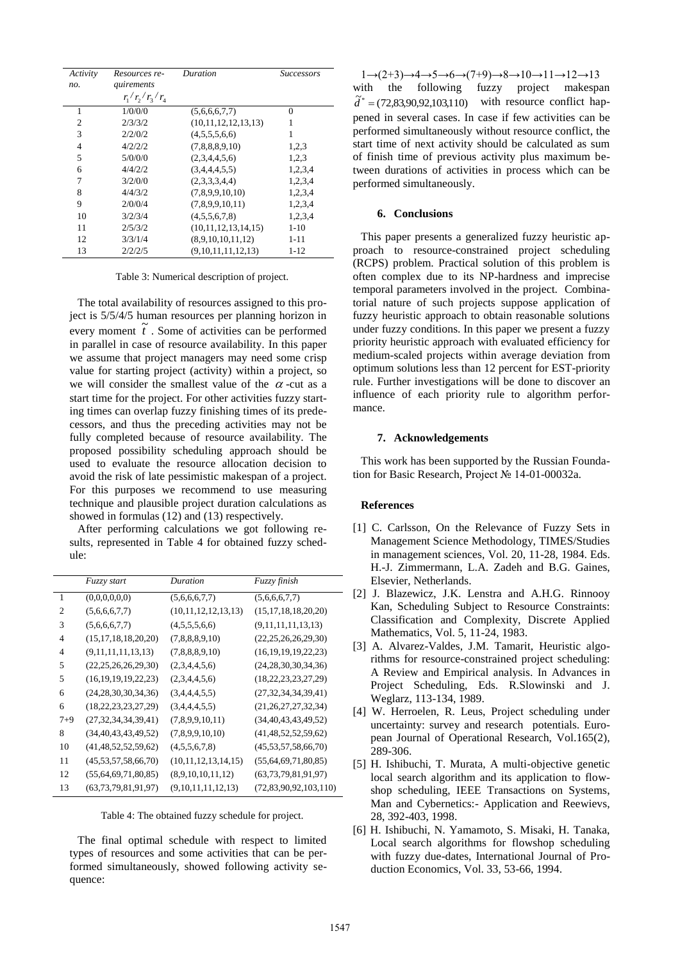| Activity       | Resources re-     | Duration            | <b>Successors</b> |
|----------------|-------------------|---------------------|-------------------|
| no.            | quirements        |                     |                   |
|                | $r_1/r_2/r_3/r_4$ |                     |                   |
| 1              | 1/0/0/0           | (5,6,6,6,7,7)       | 0                 |
| $\overline{c}$ | 2/3/3/2           | (10,11,12,12,13,13) | 1                 |
| 3              | 2/2/0/2           | (4,5,5,5,6,6)       |                   |
| 4              | 4/2/2/2           | (7,8,8,8,9,10)      | 1,2,3             |
| 5              | 5/0/0/0           | (2,3,4,4,5,6)       | 1,2,3             |
| 6              | 4/4/2/2           | (3,4,4,4,5,5)       | 1,2,3,4           |
| 7              | 3/2/0/0           | (2,3,3,3,4,4)       | 1,2,3,4           |
| 8              | 4/4/3/2           | (7,8,9,9,10,10)     | 1,2,3,4           |
| 9              | 2/0/0/4           | (7,8,9,9,10,11)     | 1,2,3,4           |
| 10             | 3/2/3/4           | (4,5,5,6,7,8)       | 1,2,3,4           |
| 11             | 2/5/3/2           | (10,11,12,13,14,15) | $1 - 10$          |
| 12             | 3/3/1/4           | (8,9,10,10,11,12)   | $1 - 11$          |
| 13             | 2/2/2/5           | (9,10,11,11,12,13)  | $1 - 12$          |

Table 3: Numerical description of project.

The total availability of resources assigned to this project is 5/5/4/5 human resources per planning horizon in every moment  $\tilde{t}$ . Some of activities can be performed in parallel in case of resource availability. In this paper we assume that project managers may need some crisp value for starting project (activity) within a project, so we will consider the smallest value of the  $\alpha$ -cut as a start time for the project. For other activities fuzzy starting times can overlap fuzzy finishing times of its predecessors, and thus the preceding activities may not be fully completed because of resource availability. The proposed possibility scheduling approach should be used to evaluate the resource allocation decision to avoid the risk of late pessimistic makespan of a project. For this purposes we recommend to use measuring technique and plausible project duration calculations as showed in formulas (12) and (13) respectively.

After performing calculations we got following results, represented in Table 4 for obtained fuzzy schedule:

|                             | Fuzzy start              | Duration            | Fuzzy finish               |
|-----------------------------|--------------------------|---------------------|----------------------------|
| 1                           | (0,0,0,0,0,0)            | (5,6,6,6,7,7)       | (5,6,6,6,7,7)              |
| $\mathcal{D}_{\mathcal{L}}$ | (5,6,6,6,7,7)            | (10,11,12,12,13,13) | (15, 17, 18, 18, 20, 20)   |
| 3                           | (5,6,6,6,7,7)            | (4,5,5,5,6,6)       | (9,11,11,11,13,13)         |
| 4                           | (15, 17, 18, 18, 20, 20) | (7,8,8,8,9,10)      | (22, 25, 26, 26, 29, 30)   |
| 4                           | (9,11,11,11,13,13)       | (7,8,8,8,9,10)      | (16, 19, 19, 19, 22, 23)   |
| 5                           | (22, 25, 26, 26, 29, 30) | (2,3,4,4,5,6)       | (24, 28, 30, 30, 34, 36)   |
| 5                           | (16, 19, 19, 19, 22, 23) | (2,3,4,4,5,6)       | (18, 22, 23, 23, 27, 29)   |
| 6                           | (24, 28, 30, 30, 34, 36) | (3,4,4,4,5,5)       | (27, 32, 34, 34, 39, 41)   |
| 6                           | (18, 22, 23, 23, 27, 29) | (3,4,4,4,5,5)       | (21, 26, 27, 27, 32, 34)   |
| $7 + 9$                     | (27, 32, 34, 34, 39, 41) | (7,8,9,9,10,11)     | (34, 40, 43, 43, 49, 52)   |
| 8                           | (34, 40, 43, 43, 49, 52) | (7,8,9,9,10,10)     | (41, 48, 52, 52, 59, 62)   |
| 10                          | (41, 48, 52, 52, 59, 62) | (4,5,5,6,7,8)       | (45, 53, 57, 58, 66, 70)   |
| 11                          | (45,53,57,58,66,70)      | (10,11,12,13,14,15) | (55, 64, 69, 71, 80, 85)   |
| 12                          | (55, 64, 69, 71, 80, 85) | (8,9,10,10,11,12)   | (63, 73, 79, 81, 91, 97)   |
| 13                          | (63, 73, 79, 81, 91, 97) | (9,10,11,11,12,13)  | (72, 83, 90, 92, 103, 110) |

Table 4: The obtained fuzzy schedule for project.

The final optimal schedule with respect to limited types of resources and some activities that can be performed simultaneously, showed following activity sequence:

 $1\rightarrow (2+3)\rightarrow 4\rightarrow 5\rightarrow 6\rightarrow (7+9)\rightarrow 8\rightarrow 10\rightarrow 11\rightarrow 12\rightarrow 13$ with the following fuzzy project makespan  $\tilde{d}^* = (72,83,90,92,103,110)$  with resource conflict happened in several cases. In case if few activities can be performed simultaneously without resource conflict, the start time of next activity should be calculated as sum of finish time of previous activity plus maximum between durations of activities in process which can be performed simultaneously.

### **6. Conclusions**

This paper presents a generalized fuzzy heuristic approach to resource-constrained project scheduling (RCPS) problem. Practical solution of this problem is often complex due to its NP-hardness and imprecise temporal parameters involved in the project. Combinatorial nature of such projects suppose application of fuzzy heuristic approach to obtain reasonable solutions under fuzzy conditions. In this paper we present a fuzzy priority heuristic approach with evaluated efficiency for medium-scaled projects within average deviation from optimum solutions less than 12 percent for EST-priority rule. Further investigations will be done to discover an influence of each priority rule to algorithm performance.

#### **7. Acknowledgements**

This work has been supported by the Russian Foundation for Basic Research, Project № 14-01-00032a.

#### **References**

- [1] C. Carlsson, On the Relevance of Fuzzy Sets in Management Science Methodology, TIMES/Studies in management sciences, Vol. 20, 11-28, 1984. Eds. H.-J. Zimmermann, L.A. Zadeh and B.G. Gaines, Elsevier, Netherlands.
- [2] J. Blazewicz, J.K. Lenstra and A.H.G. Rinnooy Kan, Scheduling Subject to Resource Constraints: Classification and Complexity, Discrete Applied Mathematics, Vol. 5, 11-24, 1983.
- [3] A. Alvarez-Valdes, J.M. Tamarit, Heuristic algorithms for resource-constrained project scheduling: A Review and Empirical analysis. In Advances in Project Scheduling, Eds. R.Slowinski and J. Weglarz, 113-134, 1989.
- [4] W. Herroelen, R. Leus, Project scheduling under uncertainty: survey and research potentials. European Journal of Operational Research, Vol.165(2), 289-306.
- [5] H. Ishibuchi, T. Murata, A multi-objective genetic local search algorithm and its application to flowshop scheduling, IEEE Transactions on Systems, Man and Cybernetics:- Application and Reewievs, 28, 392-403, 1998.
- [6] H. Ishibuchi, N. Yamamoto, S. Misaki, H. Tanaka, Local search algorithms for flowshop scheduling with fuzzy due-dates, International Journal of Production Economics, Vol. 33, 53-66, 1994.